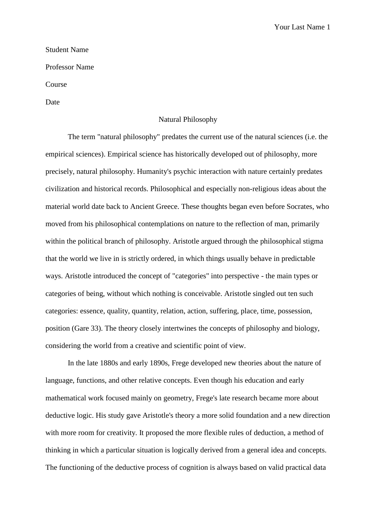Your Last Name 1

## Student Name

Professor Name

Course

Date

## Natural Philosophy

The term "natural philosophy" predates the current use of the natural sciences (i.e. the empirical sciences). Empirical science has historically developed out of philosophy, more precisely, natural philosophy. Humanity's psychic interaction with nature certainly predates civilization and historical records. Philosophical and especially non-religious ideas about the material world date back to Ancient Greece. These thoughts began even before Socrates, who moved from his philosophical contemplations on nature to the reflection of man, primarily within the political branch of philosophy. Aristotle argued through the philosophical stigma that the world we live in is strictly ordered, in which things usually behave in predictable ways. Aristotle introduced the concept of "categories" into perspective - the main types or categories of being, without which nothing is conceivable. Aristotle singled out ten such categories: essence, quality, quantity, relation, action, suffering, place, time, possession, position (Gare 33). The theory closely intertwines the concepts of philosophy and biology, considering the world from a creative and scientific point of view.

In the late 1880s and early 1890s, Frege developed new theories about the nature of language, functions, and other relative concepts. Even though his education and early mathematical work focused mainly on geometry, Frege's late research became more about deductive logic. His study gave Aristotle's theory a more solid foundation and a new direction with more room for creativity. It proposed the more flexible rules of deduction, a method of thinking in which a particular situation is logically derived from a general idea and concepts. The functioning of the deductive process of cognition is always based on valid practical data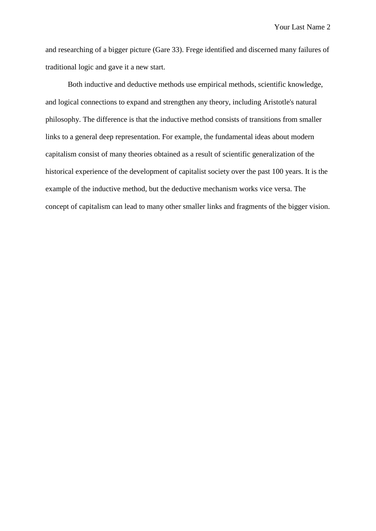Your Last Name 2

and researching of a bigger picture (Gare 33). Frege identified and discerned many failures of traditional logic and gave it a new start.

Both inductive and deductive methods use empirical methods, scientific knowledge, and logical connections to expand and strengthen any theory, including Aristotle's natural philosophy. The difference is that the inductive method consists of transitions from smaller links to a general deep representation. For example, the fundamental ideas about modern capitalism consist of many theories obtained as a result of scientific generalization of the historical experience of the development of capitalist society over the past 100 years. It is the example of the inductive method, but the deductive mechanism works vice versa. The concept of capitalism can lead to many other smaller links and fragments of the bigger vision.